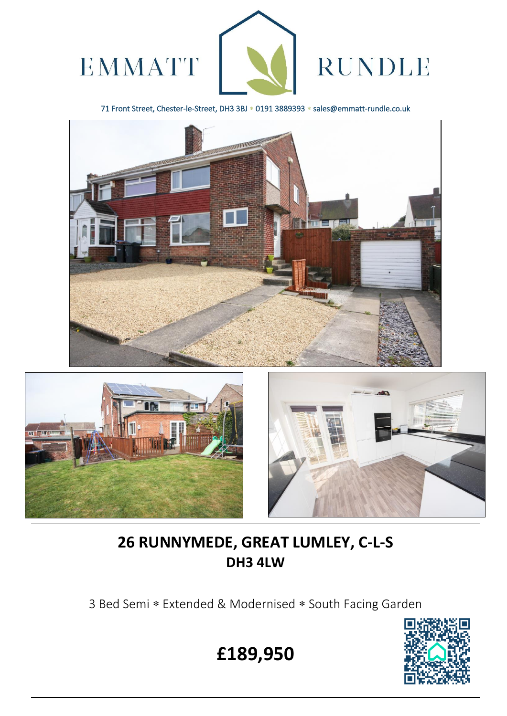

71 Front Street, Chester-le-Street, DH3 3BJ \* 0191 3889393 \* sales@emmatt-rundle.co.uk





 $\overline{a}$ 



# **26 RUNNYMEDE, GREAT LUMLEY, C-L-S DH3 4LW**

3 Bed Semi \* Extended & Modernised \* South Facing Garden



**£189,950**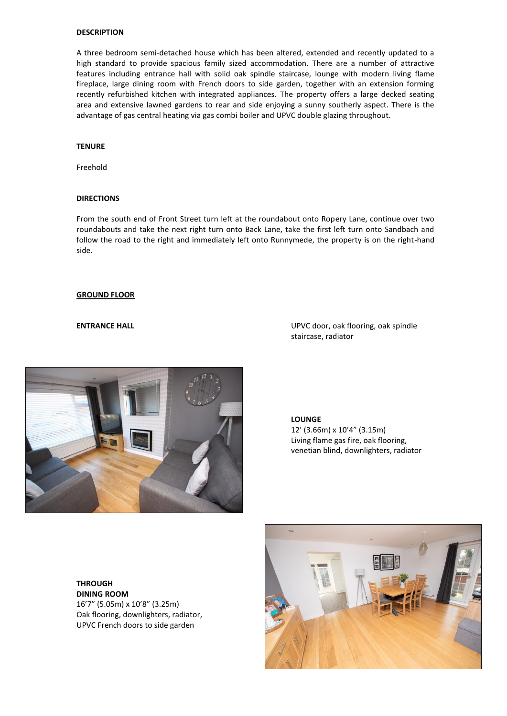# **DESCRIPTION**

A three bedroom semi-detached house which has been altered, extended and recently updated to a high standard to provide spacious family sized accommodation. There are a number of attractive features including entrance hall with solid oak spindle staircase, lounge with modern living flame fireplace, large dining room with French doors to side garden, together with an extension forming recently refurbished kitchen with integrated appliances. The property offers a large decked seating area and extensive lawned gardens to rear and side enjoying a sunny southerly aspect. There is the advantage of gas central heating via gas combi boiler and UPVC double glazing throughout.

## **TENURE**

Freehold

### **DIRECTIONS**

From the south end of Front Street turn left at the roundabout onto Ropery Lane, continue over two roundabouts and take the next right turn onto Back Lane, take the first left turn onto Sandbach and follow the road to the right and immediately left onto Runnymede, the property is on the right-hand side.

#### **GROUND FLOOR**

**ENTRANCE HALL ENTRANCE HALL ENTRANCE HALL ENTRANCE HALL** staircase, radiator



**LOUNGE** 12' (3.66m) x 10'4" (3.15m) Living flame gas fire, oak flooring, venetian blind, downlighters, radiator

**THROUGH DINING ROOM** 16'7" (5.05m) x 10'8" (3.25m) Oak flooring, downlighters, radiator, UPVC French doors to side garden

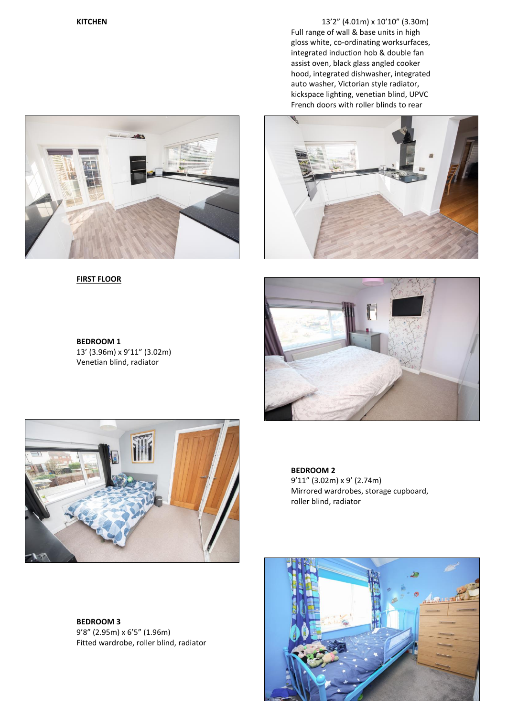**KITCHEN** 13'2" (4.01m) x 10'10" (3.30m) Full range of wall & base units in high gloss white, co-ordinating worksurfaces, integrated induction hob & double fan assist oven, black glass angled cooker hood, integrated dishwasher, integrated auto washer, Victorian style radiator, kickspace lighting, venetian blind, UPVC French doors with roller blinds to rear





**FIRST FLOOR**







**BEDROOM 3** 9'8" (2.95m) x 6'5" (1.96m) Fitted wardrobe, roller blind, radiator **BEDROOM 2** 9'11" (3.02m) x 9' (2.74m) Mirrored wardrobes, storage cupboard, roller blind, radiator